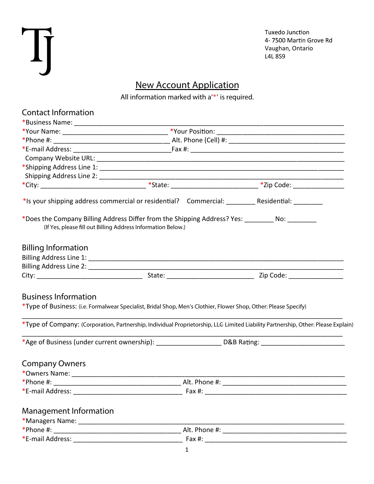| r |  |
|---|--|
|   |  |
|   |  |
|   |  |
|   |  |

Tuxedo Junction 4-7500 Martin Grove Rd Vaughan, Ontario L4L 8S9

## **New Account Application**

*All information marked with a'\*' is required.*

| <b>Contact Information</b>                                                                                      |                                                                                                                                                                  |                                                                                                                                   |
|-----------------------------------------------------------------------------------------------------------------|------------------------------------------------------------------------------------------------------------------------------------------------------------------|-----------------------------------------------------------------------------------------------------------------------------------|
|                                                                                                                 |                                                                                                                                                                  |                                                                                                                                   |
|                                                                                                                 |                                                                                                                                                                  |                                                                                                                                   |
|                                                                                                                 |                                                                                                                                                                  |                                                                                                                                   |
|                                                                                                                 |                                                                                                                                                                  |                                                                                                                                   |
|                                                                                                                 |                                                                                                                                                                  |                                                                                                                                   |
|                                                                                                                 |                                                                                                                                                                  |                                                                                                                                   |
|                                                                                                                 |                                                                                                                                                                  |                                                                                                                                   |
|                                                                                                                 |                                                                                                                                                                  |                                                                                                                                   |
|                                                                                                                 |                                                                                                                                                                  | *Is your shipping address commercial or residential? Commercial: _________ Residential: _________                                 |
|                                                                                                                 | *Does the Company Billing Address Differ from the Shipping Address? Yes: _________ No: _________<br>(If Yes, please fill out Billing Address Information Below.) |                                                                                                                                   |
| <b>Billing Information</b>                                                                                      |                                                                                                                                                                  |                                                                                                                                   |
|                                                                                                                 |                                                                                                                                                                  |                                                                                                                                   |
|                                                                                                                 |                                                                                                                                                                  |                                                                                                                                   |
|                                                                                                                 |                                                                                                                                                                  |                                                                                                                                   |
| <b>Business Information</b>                                                                                     | *Type of Business: (i.e. Formalwear Specialist, Bridal Shop, Men's Clothier, Flower Shop, Other: Please Specify)                                                 |                                                                                                                                   |
|                                                                                                                 |                                                                                                                                                                  | *Type of Company: (Corporation, Partnership, Individual Proprietorship, LLE Limited Liability Partnership, Other: Please Explain) |
|                                                                                                                 |                                                                                                                                                                  | *Age of Business (under current ownership): _____________________ D&B Rating: ________________________________                    |
| <b>Company Owners</b>                                                                                           |                                                                                                                                                                  |                                                                                                                                   |
| *Owners Name: 2008 2010 2021 2022 2023 2024 2022 2022 2023 2024 2022 2023 2024 2022 2023 2024 2022 2023 2024 20 |                                                                                                                                                                  |                                                                                                                                   |
| *Phone #:                                                                                                       |                                                                                                                                                                  |                                                                                                                                   |
|                                                                                                                 |                                                                                                                                                                  |                                                                                                                                   |
| <b>Management Information</b>                                                                                   |                                                                                                                                                                  |                                                                                                                                   |
|                                                                                                                 |                                                                                                                                                                  |                                                                                                                                   |
|                                                                                                                 |                                                                                                                                                                  |                                                                                                                                   |
|                                                                                                                 |                                                                                                                                                                  |                                                                                                                                   |